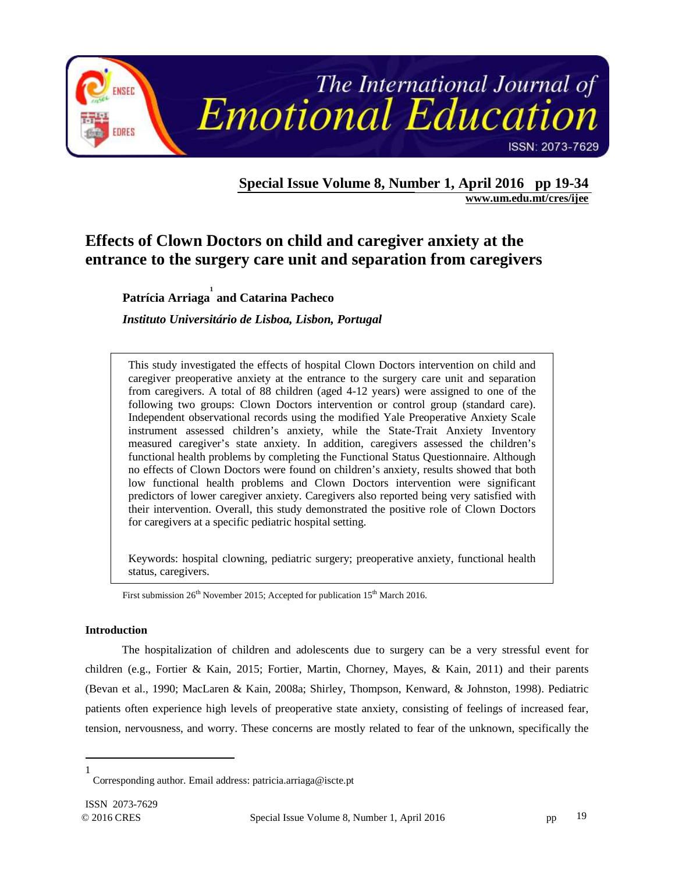

**Special Issue Volume 8, Number 1, April 2016 pp 19-34 www.um.edu.mt/cres/ijee** 

# **Effects of Clown Doctors on child and caregiver anxiety at the entrance to the surgery care unit and separation from caregivers**

**Patrícia Arriaga 1 and Catarina Pacheco** 

*Instituto Universitário de Lisboa, Lisbon, Portugal*

This study investigated the effects of hospital Clown Doctors intervention on child and caregiver preoperative anxiety at the entrance to the surgery care unit and separation from caregivers. A total of 88 children (aged 4-12 years) were assigned to one of the following two groups: Clown Doctors intervention or control group (standard care). Independent observational records using the modified Yale Preoperative Anxiety Scale instrument assessed children's anxiety, while the State-Trait Anxiety Inventory measured caregiver's state anxiety. In addition, caregivers assessed the children's functional health problems by completing the Functional Status Questionnaire. Although no effects of Clown Doctors were found on children's anxiety, results showed that both low functional health problems and Clown Doctors intervention were significant predictors of lower caregiver anxiety. Caregivers also reported being very satisfied with their intervention. Overall, this study demonstrated the positive role of Clown Doctors for caregivers at a specific pediatric hospital setting.

Keywords: hospital clowning, pediatric surgery; preoperative anxiety, functional health status, caregivers.

First submission  $26<sup>th</sup>$  November 2015; Accepted for publication 15<sup>th</sup> March 2016.

# **Introduction**

The hospitalization of children and adolescents due to surgery can be a very stressful event for children (e.g., Fortier & Kain, 2015; Fortier, Martin, Chorney, Mayes, & Kain, 2011) and their parents (Bevan et al., 1990; MacLaren & Kain, 2008a; Shirley, Thompson, Kenward, & Johnston, 1998). Pediatric patients often experience high levels of preoperative state anxiety, consisting of feelings of increased fear, tension, nervousness, and worry. These concerns are mostly related to fear of the unknown, specifically the

 $\overline{a}$ 1

Corresponding author. Email address: patricia.arriaga@iscte.pt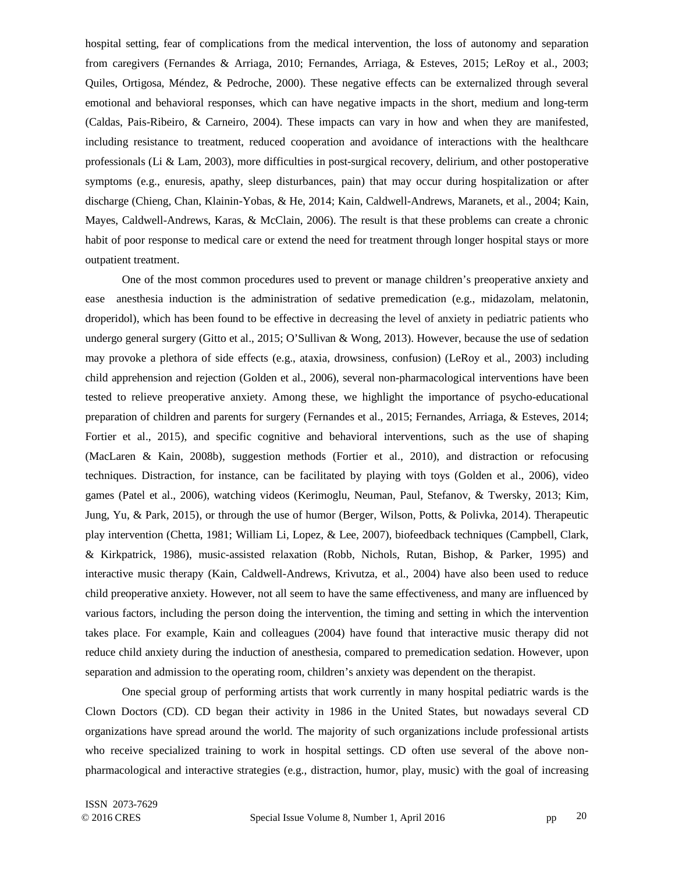hospital setting, fear of complications from the medical intervention, the loss of autonomy and separation from caregivers (Fernandes & Arriaga, 2010; Fernandes, Arriaga, & Esteves, 2015; LeRoy et al., 2003; Quiles, Ortigosa, Méndez, & Pedroche, 2000). These negative effects can be externalized through several emotional and behavioral responses, which can have negative impacts in the short, medium and long-term (Caldas, Pais-Ribeiro, & Carneiro, 2004). These impacts can vary in how and when they are manifested, including resistance to treatment, reduced cooperation and avoidance of interactions with the healthcare professionals (Li & Lam, 2003), more difficulties in post-surgical recovery, delirium, and other postoperative symptoms (e.g., enuresis, apathy, sleep disturbances, pain) that may occur during hospitalization or after discharge (Chieng, Chan, Klainin-Yobas, & He, 2014; Kain, Caldwell-Andrews, Maranets, et al., 2004; Kain, Mayes, Caldwell-Andrews, Karas, & McClain, 2006). The result is that these problems can create a chronic habit of poor response to medical care or extend the need for treatment through longer hospital stays or more outpatient treatment.

One of the most common procedures used to prevent or manage children's preoperative anxiety and ease anesthesia induction is the administration of sedative premedication (e.g., midazolam, melatonin, droperidol), which has been found to be effective in decreasing the level of anxiety in pediatric patients who undergo general surgery (Gitto et al., 2015; O'Sullivan & Wong, 2013). However, because the use of sedation may provoke a plethora of side effects (e.g., ataxia, drowsiness, confusion) (LeRoy et al., 2003) including child apprehension and rejection (Golden et al., 2006), several non-pharmacological interventions have been tested to relieve preoperative anxiety. Among these, we highlight the importance of psycho-educational preparation of children and parents for surgery (Fernandes et al., 2015; Fernandes, Arriaga, & Esteves, 2014; Fortier et al., 2015), and specific cognitive and behavioral interventions, such as the use of shaping (MacLaren & Kain, 2008b), suggestion methods (Fortier et al., 2010), and distraction or refocusing techniques. Distraction, for instance, can be facilitated by playing with toys (Golden et al., 2006), video games (Patel et al., 2006), watching videos (Kerimoglu, Neuman, Paul, Stefanov, & Twersky, 2013; Kim, Jung, Yu, & Park, 2015), or through the use of humor (Berger, Wilson, Potts, & Polivka, 2014). Therapeutic play intervention (Chetta, 1981; William Li, Lopez, & Lee, 2007), biofeedback techniques (Campbell, Clark, & Kirkpatrick, 1986), music-assisted relaxation (Robb, Nichols, Rutan, Bishop, & Parker, 1995) and interactive music therapy (Kain, Caldwell-Andrews, Krivutza, et al., 2004) have also been used to reduce child preoperative anxiety. However, not all seem to have the same effectiveness, and many are influenced by various factors, including the person doing the intervention, the timing and setting in which the intervention takes place. For example, Kain and colleagues (2004) have found that interactive music therapy did not reduce child anxiety during the induction of anesthesia, compared to premedication sedation. However, upon separation and admission to the operating room, children's anxiety was dependent on the therapist.

One special group of performing artists that work currently in many hospital pediatric wards is the Clown Doctors (CD). CD began their activity in 1986 in the United States, but nowadays several CD organizations have spread around the world. The majority of such organizations include professional artists who receive specialized training to work in hospital settings. CD often use several of the above nonpharmacological and interactive strategies (e.g., distraction, humor, play, music) with the goal of increasing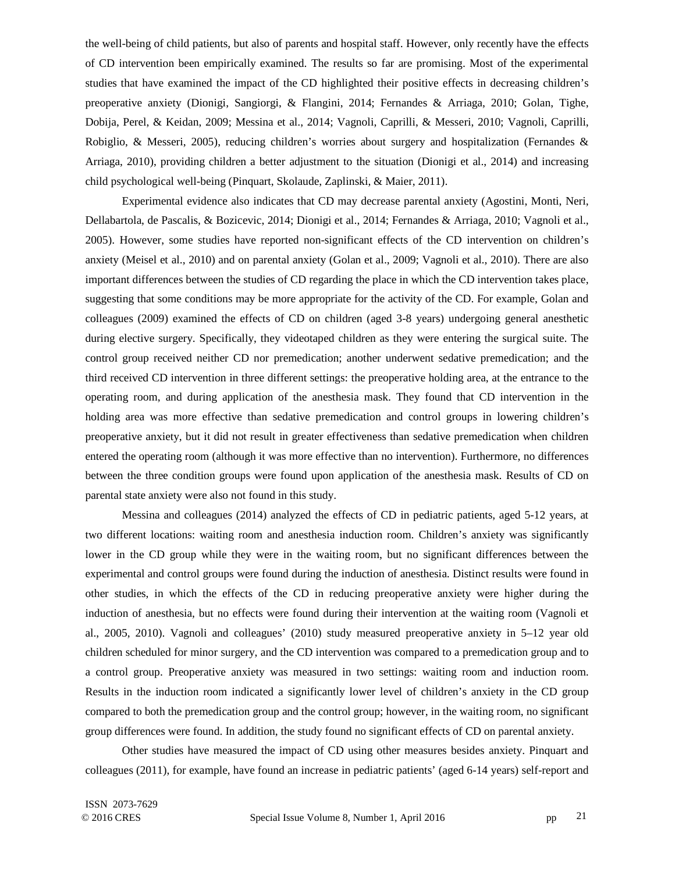the well-being of child patients, but also of parents and hospital staff. However, only recently have the effects of CD intervention been empirically examined. The results so far are promising. Most of the experimental studies that have examined the impact of the CD highlighted their positive effects in decreasing children's preoperative anxiety (Dionigi, Sangiorgi, & Flangini, 2014; Fernandes & Arriaga, 2010; Golan, Tighe, Dobija, Perel, & Keidan, 2009; Messina et al., 2014; Vagnoli, Caprilli, & Messeri, 2010; Vagnoli, Caprilli, Robiglio, & Messeri, 2005), reducing children's worries about surgery and hospitalization (Fernandes & Arriaga, 2010), providing children a better adjustment to the situation (Dionigi et al., 2014) and increasing child psychological well-being (Pinquart, Skolaude, Zaplinski, & Maier, 2011).

Experimental evidence also indicates that CD may decrease parental anxiety (Agostini, Monti, Neri, Dellabartola, de Pascalis, & Bozicevic, 2014; Dionigi et al., 2014; Fernandes & Arriaga, 2010; Vagnoli et al., 2005). However, some studies have reported non-significant effects of the CD intervention on children's anxiety (Meisel et al., 2010) and on parental anxiety (Golan et al., 2009; Vagnoli et al., 2010). There are also important differences between the studies of CD regarding the place in which the CD intervention takes place, suggesting that some conditions may be more appropriate for the activity of the CD. For example, Golan and colleagues (2009) examined the effects of CD on children (aged 3-8 years) undergoing general anesthetic during elective surgery. Specifically, they videotaped children as they were entering the surgical suite. The control group received neither CD nor premedication; another underwent sedative premedication; and the third received CD intervention in three different settings: the preoperative holding area, at the entrance to the operating room, and during application of the anesthesia mask. They found that CD intervention in the holding area was more effective than sedative premedication and control groups in lowering children's preoperative anxiety, but it did not result in greater effectiveness than sedative premedication when children entered the operating room (although it was more effective than no intervention). Furthermore, no differences between the three condition groups were found upon application of the anesthesia mask. Results of CD on parental state anxiety were also not found in this study.

Messina and colleagues (2014) analyzed the effects of CD in pediatric patients, aged 5-12 years, at two different locations: waiting room and anesthesia induction room. Children's anxiety was significantly lower in the CD group while they were in the waiting room, but no significant differences between the experimental and control groups were found during the induction of anesthesia. Distinct results were found in other studies, in which the effects of the CD in reducing preoperative anxiety were higher during the induction of anesthesia, but no effects were found during their intervention at the waiting room (Vagnoli et al., 2005, 2010). Vagnoli and colleagues' (2010) study measured preoperative anxiety in 5–12 year old children scheduled for minor surgery, and the CD intervention was compared to a premedication group and to a control group. Preoperative anxiety was measured in two settings: waiting room and induction room. Results in the induction room indicated a significantly lower level of children's anxiety in the CD group compared to both the premedication group and the control group; however, in the waiting room, no significant group differences were found. In addition, the study found no significant effects of CD on parental anxiety.

Other studies have measured the impact of CD using other measures besides anxiety. Pinquart and colleagues (2011), for example, have found an increase in pediatric patients' (aged 6-14 years) self-report and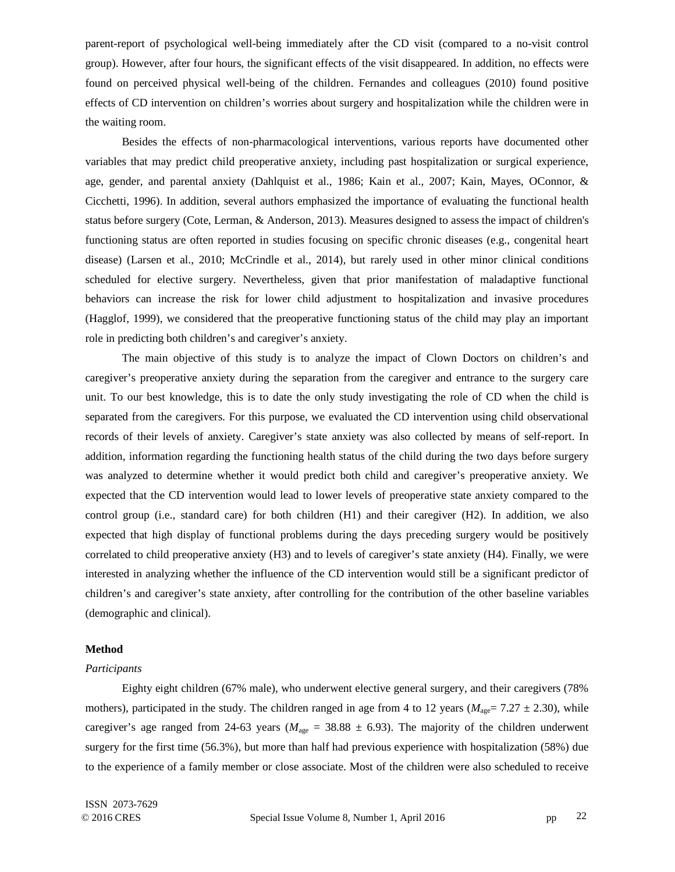parent-report of psychological well-being immediately after the CD visit (compared to a no-visit control group). However, after four hours, the significant effects of the visit disappeared. In addition, no effects were found on perceived physical well-being of the children. Fernandes and colleagues (2010) found positive effects of CD intervention on children's worries about surgery and hospitalization while the children were in the waiting room.

Besides the effects of non-pharmacological interventions, various reports have documented other variables that may predict child preoperative anxiety, including past hospitalization or surgical experience, age, gender, and parental anxiety (Dahlquist et al., 1986; Kain et al., 2007; Kain, Mayes, OConnor, & Cicchetti, 1996). In addition, several authors emphasized the importance of evaluating the functional health status before surgery (Cote, Lerman, & Anderson, 2013). Measures designed to assess the impact of children's functioning status are often reported in studies focusing on specific chronic diseases (e.g., congenital heart disease) (Larsen et al., 2010; McCrindle et al., 2014), but rarely used in other minor clinical conditions scheduled for elective surgery. Nevertheless, given that prior manifestation of maladaptive functional behaviors can increase the risk for lower child adjustment to hospitalization and invasive procedures (Hagglof, 1999), we considered that the preoperative functioning status of the child may play an important role in predicting both children's and caregiver's anxiety.

The main objective of this study is to analyze the impact of Clown Doctors on children's and caregiver's preoperative anxiety during the separation from the caregiver and entrance to the surgery care unit. To our best knowledge, this is to date the only study investigating the role of CD when the child is separated from the caregivers. For this purpose, we evaluated the CD intervention using child observational records of their levels of anxiety. Caregiver's state anxiety was also collected by means of self-report. In addition, information regarding the functioning health status of the child during the two days before surgery was analyzed to determine whether it would predict both child and caregiver's preoperative anxiety. We expected that the CD intervention would lead to lower levels of preoperative state anxiety compared to the control group (i.e., standard care) for both children (H1) and their caregiver (H2). In addition, we also expected that high display of functional problems during the days preceding surgery would be positively correlated to child preoperative anxiety (H3) and to levels of caregiver's state anxiety (H4). Finally, we were interested in analyzing whether the influence of the CD intervention would still be a significant predictor of children's and caregiver's state anxiety, after controlling for the contribution of the other baseline variables (demographic and clinical).

# **Method**

### *Participants*

Eighty eight children (67% male), who underwent elective general surgery, and their caregivers (78% mothers), participated in the study. The children ranged in age from 4 to 12 years ( $M_{\text{age}}$ = 7.27  $\pm$  2.30), while caregiver's age ranged from 24-63 years ( $M_{\text{age}} = 38.88 \pm 6.93$ ). The majority of the children underwent surgery for the first time (56.3%), but more than half had previous experience with hospitalization (58%) due to the experience of a family member or close associate. Most of the children were also scheduled to receive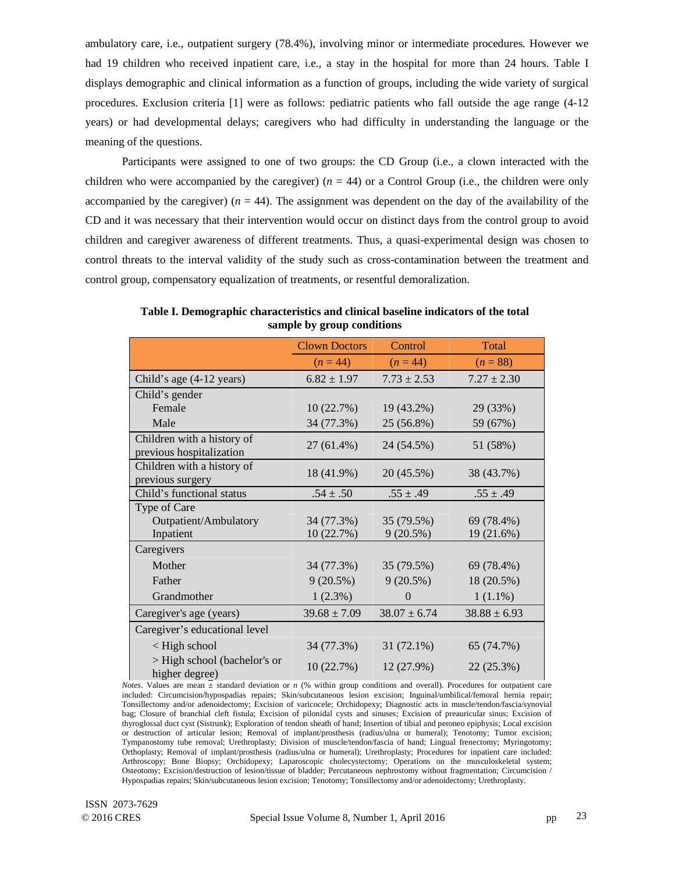ambulatory care, i.e., outpatient surgery (78.4%), involving minor or intermediate procedures*.* However we had 19 children who received inpatient care, i.e., a stay in the hospital for more than 24 hours. Table I displays demographic and clinical information as a function of groups, including the wide variety of surgical procedures. Exclusion criteria [1] were as follows: pediatric patients who fall outside the age range (4-12 years) or had developmental delays; caregivers who had difficulty in understanding the language or the meaning of the questions.

Participants were assigned to one of two groups: the CD Group (i.e., a clown interacted with the children who were accompanied by the caregiver)  $(n = 44)$  or a Control Group (i.e., the children were only accompanied by the caregiver)  $(n = 44)$ . The assignment was dependent on the day of the availability of the CD and it was necessary that their intervention would occur on distinct days from the control group to avoid children and caregiver awareness of different treatments. Thus, a quasi-experimental design was chosen to control threats to the interval validity of the study such as cross-contamination between the treatment and control group, compensatory equalization of treatments, or resentful demoralization.

|                                                        | <b>Clown Doctors</b> | Control          | Total            |  |  |
|--------------------------------------------------------|----------------------|------------------|------------------|--|--|
|                                                        | $(n = 44)$           | $(n = 44)$       | $(n = 88)$       |  |  |
| Child's age (4-12 years)                               | $6.82 \pm 1.97$      | $7.73 \pm 2.53$  | $7.27 \pm 2.30$  |  |  |
| Child's gender                                         |                      |                  |                  |  |  |
| Female                                                 | 10(22.7%)            | 19 (43.2%)       | 29 (33%)         |  |  |
| Male                                                   | 34 (77.3%)           | 25 (56.8%)       | 59 (67%)         |  |  |
| Children with a history of<br>previous hospitalization | 27 (61.4%)           | 24 (54.5%)       | 51 (58%)         |  |  |
| Children with a history of<br>previous surgery         | 18 (41.9%)           | 20 (45.5%)       | 38 (43.7%)       |  |  |
| Child's functional status                              | $.54 \pm .50$        | $.55 \pm .49$    | $.55 \pm .49$    |  |  |
| Type of Care                                           |                      |                  |                  |  |  |
| Outpatient/Ambulatory                                  | 34 (77.3%)           | 35 (79.5%)       | 69 (78.4%)       |  |  |
| Inpatient                                              | 10(22.7%)            | 9(20.5%)         | 19 (21.6%)       |  |  |
| Caregivers                                             |                      |                  |                  |  |  |
| Mother                                                 | 34 (77.3%)           | 35 (79.5%)       | 69 (78.4%)       |  |  |
| Father                                                 | 9(20.5%)             | 9(20.5%)         | 18 (20.5%)       |  |  |
| Grandmother                                            | $1(2.3\%)$           | $\Omega$         | $1(1.1\%)$       |  |  |
| Caregiver's age (years)                                | $39.68 \pm 7.09$     | $38.07 \pm 6.74$ | $38.88 \pm 6.93$ |  |  |
| Caregiver's educational level                          |                      |                  |                  |  |  |
| $\langle$ High school                                  | 34 (77.3%)           | 31 (72.1%)       | 65 (74.7%)       |  |  |
| > High school (bachelor's or<br>higher degree)         | 10(22.7%)            | 12(27.9%)        | 22(25.3%)        |  |  |

**Table I. Demographic characteristics and clinical baseline indicators of the total sample by group conditions** 

*Notes*. Values are mean  $\frac{1}{x}$  standard deviation or *n* (% within group conditions and overall). Procedures for outpatient care included: Circumcision/hypospadias repairs; Skin/subcutaneous lesion excision; Inguinal/umbilical/femoral hernia repair; Tonsillectomy and/or adenoidectomy; Excision of varicocele; Orchidopexy; Diagnostic acts in muscle/tendon/fascia/synovial bag; Closure of branchial cleft fistula; Excision of pilonidal cysts and sinuses; Excision of preauricular sinus; Excision of thyroglossal duct cyst (Sistrunk); Exploration of tendon sheath of hand; Insertion of tibial and peroneo epiphysis; Local excision or destruction of articular lesion; Removal of implant/prosthesis (radius/ulna or humeral); Tenotomy; Tumor excision; Tympanostomy tube removal; Urethroplasty; Division of muscle/tendon/fascia of hand; Lingual frenectomy; Myringotomy; Orthoplasty; Removal of implant/prosthesis (radius/ulna or humeral); Urethroplasty; Procedures for inpatient care included: Arthroscopy; Bone Biopsy; Orchidopexy; Laparoscopic cholecystectomy; Operations on the musculoskeletal system; Osteotomy; Excision/destruction of lesion/tissue of bladder; Percutaneous nephrostomy without fragmentation; Circumcision / Hypospadias repairs; Skin/subcutaneous lesion excision; Tenotomy; Tonsillectomy and/or adenoidectomy; Urethroplasty.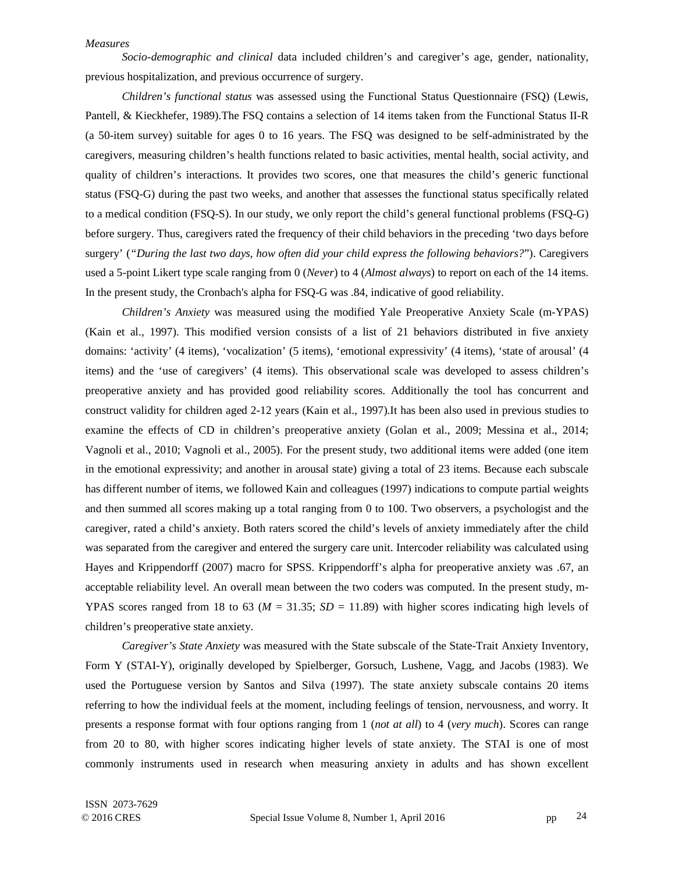### *Measures*

*Socio-demographic and clinical* data included children's and caregiver's age, gender, nationality, previous hospitalization, and previous occurrence of surgery.

*Children's functional status* was assessed using the Functional Status Questionnaire (FSQ) (Lewis, Pantell, & Kieckhefer, 1989).The FSQ contains a selection of 14 items taken from the Functional Status II-R (a 50-item survey) suitable for ages 0 to 16 years. The FSQ was designed to be self-administrated by the caregivers, measuring children's health functions related to basic activities, mental health, social activity, and quality of children's interactions. It provides two scores, one that measures the child's generic functional status (FSQ-G) during the past two weeks, and another that assesses the functional status specifically related to a medical condition (FSQ-S). In our study, we only report the child's general functional problems (FSQ-G) before surgery. Thus, caregivers rated the frequency of their child behaviors in the preceding 'two days before surgery' (*"During the last two days, how often did your child express the following behaviors?*"). Caregivers used a 5-point Likert type scale ranging from 0 (*Never*) to 4 (*Almost always*) to report on each of the 14 items. In the present study, the Cronbach's alpha for FSQ-G was .84, indicative of good reliability.

*Children's Anxiety* was measured using the modified Yale Preoperative Anxiety Scale (m-YPAS) (Kain et al., 1997). This modified version consists of a list of 21 behaviors distributed in five anxiety domains: 'activity' (4 items), 'vocalization' (5 items), 'emotional expressivity' (4 items), 'state of arousal' (4 items) and the 'use of caregivers' (4 items). This observational scale was developed to assess children's preoperative anxiety and has provided good reliability scores. Additionally the tool has concurrent and construct validity for children aged 2-12 years (Kain et al., 1997).It has been also used in previous studies to examine the effects of CD in children's preoperative anxiety (Golan et al., 2009; Messina et al., 2014; Vagnoli et al., 2010; Vagnoli et al., 2005). For the present study, two additional items were added (one item in the emotional expressivity; and another in arousal state) giving a total of 23 items. Because each subscale has different number of items, we followed Kain and colleagues (1997) indications to compute partial weights and then summed all scores making up a total ranging from 0 to 100. Two observers, a psychologist and the caregiver, rated a child's anxiety. Both raters scored the child's levels of anxiety immediately after the child was separated from the caregiver and entered the surgery care unit. Intercoder reliability was calculated using Hayes and Krippendorff (2007) macro for SPSS. Krippendorff's alpha for preoperative anxiety was .67, an acceptable reliability level. An overall mean between the two coders was computed. In the present study, m-YPAS scores ranged from 18 to 63 ( $M = 31.35$ ;  $SD = 11.89$ ) with higher scores indicating high levels of children's preoperative state anxiety.

*Caregiver's State Anxiety* was measured with the State subscale of the State-Trait Anxiety Inventory, Form Y (STAI-Y), originally developed by Spielberger, Gorsuch, Lushene, Vagg, and Jacobs (1983). We used the Portuguese version by Santos and Silva (1997). The state anxiety subscale contains 20 items referring to how the individual feels at the moment, including feelings of tension, nervousness, and worry. It presents a response format with four options ranging from 1 (*not at all*) to 4 (*very much*). Scores can range from 20 to 80, with higher scores indicating higher levels of state anxiety. The STAI is one of most commonly instruments used in research when measuring anxiety in adults and has shown excellent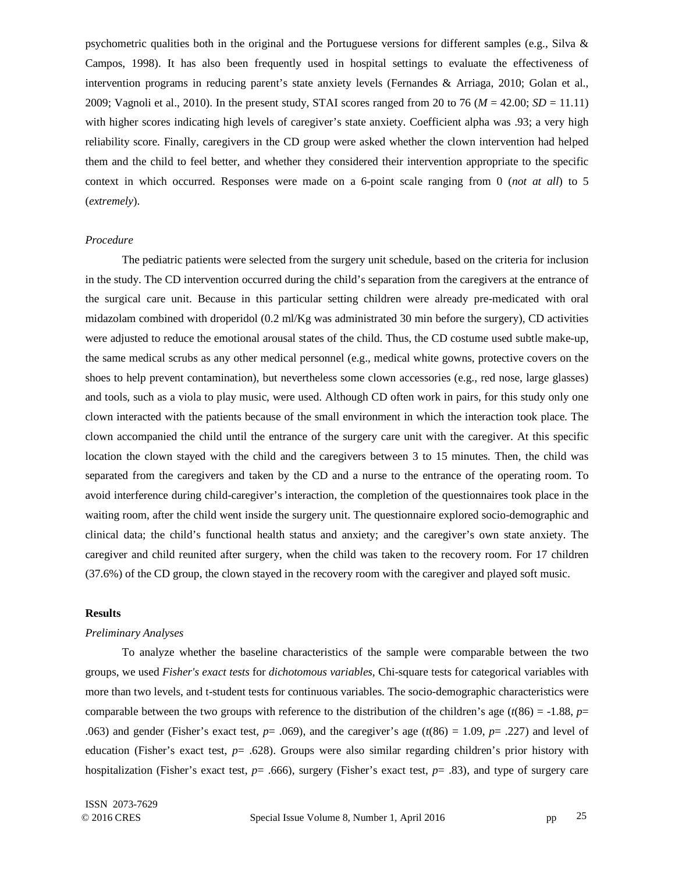psychometric qualities both in the original and the Portuguese versions for different samples (e.g., Silva & Campos, 1998). It has also been frequently used in hospital settings to evaluate the effectiveness of intervention programs in reducing parent's state anxiety levels (Fernandes & Arriaga, 2010; Golan et al., 2009; Vagnoli et al., 2010). In the present study, STAI scores ranged from 20 to 76 (*M* = 42.00; *SD* = 11.11) with higher scores indicating high levels of caregiver's state anxiety. Coefficient alpha was .93; a very high reliability score. Finally, caregivers in the CD group were asked whether the clown intervention had helped them and the child to feel better, and whether they considered their intervention appropriate to the specific context in which occurred. Responses were made on a 6-point scale ranging from 0 (*not at all*) to 5 (*extremely*).

### *Procedure*

The pediatric patients were selected from the surgery unit schedule, based on the criteria for inclusion in the study. The CD intervention occurred during the child's separation from the caregivers at the entrance of the surgical care unit. Because in this particular setting children were already pre-medicated with oral midazolam combined with droperidol (0.2 ml/Kg was administrated 30 min before the surgery), CD activities were adjusted to reduce the emotional arousal states of the child. Thus, the CD costume used subtle make-up, the same medical scrubs as any other medical personnel (e.g., medical white gowns, protective covers on the shoes to help prevent contamination), but nevertheless some clown accessories (e.g., red nose, large glasses) and tools, such as a viola to play music, were used. Although CD often work in pairs, for this study only one clown interacted with the patients because of the small environment in which the interaction took place. The clown accompanied the child until the entrance of the surgery care unit with the caregiver. At this specific location the clown stayed with the child and the caregivers between 3 to 15 minutes. Then, the child was separated from the caregivers and taken by the CD and a nurse to the entrance of the operating room. To avoid interference during child-caregiver's interaction, the completion of the questionnaires took place in the waiting room, after the child went inside the surgery unit. The questionnaire explored socio-demographic and clinical data; the child's functional health status and anxiety; and the caregiver's own state anxiety. The caregiver and child reunited after surgery, when the child was taken to the recovery room. For 17 children (37.6%) of the CD group, the clown stayed in the recovery room with the caregiver and played soft music.

## **Results**

#### *Preliminary Analyses*

To analyze whether the baseline characteristics of the sample were comparable between the two groups, we used *Fisher's exact tests* for *dichotomous variables,* Chi-square tests for categorical variables with more than two levels, and t-student tests for continuous variables. The socio-demographic characteristics were comparable between the two groups with reference to the distribution of the children's age ( $t(86) = -1.88$ ,  $p=$ .063) and gender (Fisher's exact test,  $p = .069$ ), and the caregiver's age ( $t(86) = 1.09$ ,  $p = .227$ ) and level of education (Fisher's exact test, *p*= .628). Groups were also similar regarding children's prior history with hospitalization (Fisher's exact test, *p*= .666), surgery (Fisher's exact test, *p*= .83), and type of surgery care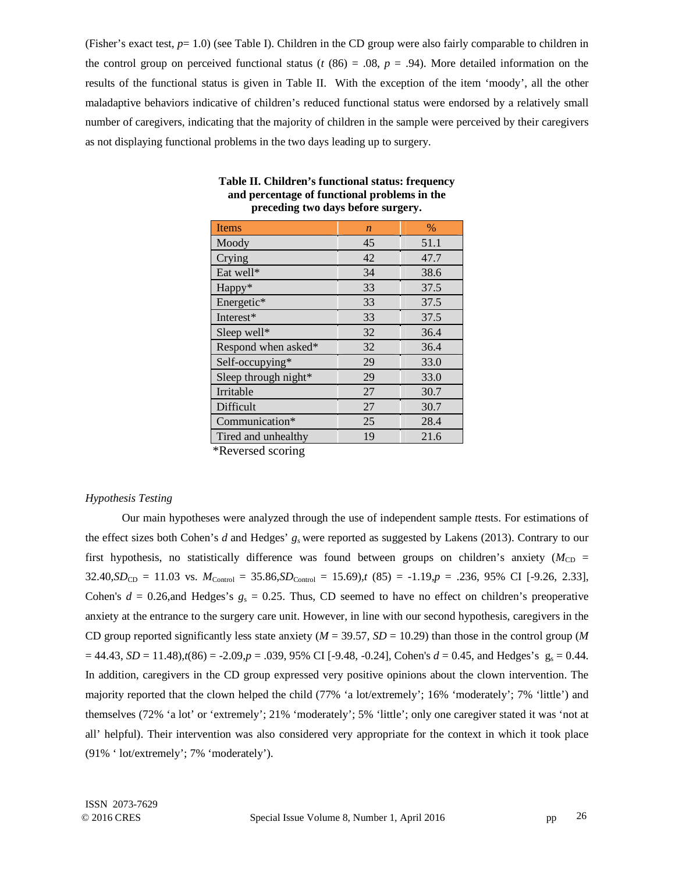(Fisher's exact test, *p*= 1.0) (see Table I). Children in the CD group were also fairly comparable to children in the control group on perceived functional status ( $t$  (86) = .08,  $p = .94$ ). More detailed information on the results of the functional status is given in Table II. With the exception of the item 'moody', all the other maladaptive behaviors indicative of children's reduced functional status were endorsed by a relatively small number of caregivers, indicating that the majority of children in the sample were perceived by their caregivers as not displaying functional problems in the two days leading up to surgery.

| <b>Items</b>         | $\boldsymbol{n}$ | $\%$ |
|----------------------|------------------|------|
| Moody                | 45               | 51.1 |
| Crying               | 42               | 47.7 |
| Eat well*            | 34               | 38.6 |
| Happy*               | 33               | 37.5 |
| Energetic*           | 33               | 37.5 |
| Interest*            | 33               | 37.5 |
| Sleep well*          | 32               | 36.4 |
| Respond when asked*  | 32               | 36.4 |
| Self-occupying*      | 29               | 33.0 |
| Sleep through night* | 29               | 33.0 |
| Irritable            | 27               | 30.7 |
| Difficult            | 27               | 30.7 |
| Communication*       | 25               | 28.4 |
| Tired and unhealthy  | 19               | 21.6 |
| $*Dourood$           |                  |      |

# **Table II. Children's functional status: frequency and percentage of functional problems in the preceding two days before surgery.**

**Reversed scoring** 

# *Hypothesis Testing*

Our main hypotheses were analyzed through the use of independent sample *t*tests. For estimations of the effect sizes both Cohen's *d* and Hedges' *gs* were reported as suggested by Lakens (2013). Contrary to our first hypothesis, no statistically difference was found between groups on children's anxiety ( $M_{CD}$  =  $32.40, SD_{CD} = 11.03$  vs.  $M_{Control} = 35.86, SD_{Control} = 15.69$ ,  $(85) = -1.19, p = .236, 95\%$  CI [-9.26, 2.33], Cohen's  $d = 0.26$ , and Hedges's  $g_s = 0.25$ . Thus, CD seemed to have no effect on children's preoperative anxiety at the entrance to the surgery care unit. However, in line with our second hypothesis, caregivers in the CD group reported significantly less state anxiety (*M* = 39.57, *SD* = 10.29) than those in the control group (*M*  $= 44.43, SD = 11.48$ , $t(86) = -2.09, p = .039, 95\% \text{ CI}$  [-9.48, -0.24], Cohen's  $d = 0.45$ , and Hedges's  $g_s = 0.44$ . In addition, caregivers in the CD group expressed very positive opinions about the clown intervention. The majority reported that the clown helped the child (77% 'a lot/extremely'; 16% 'moderately'; 7% 'little') and themselves (72% 'a lot' or 'extremely'; 21% 'moderately'; 5% 'little'; only one caregiver stated it was 'not at all' helpful). Their intervention was also considered very appropriate for the context in which it took place (91% ' lot/extremely'; 7% 'moderately').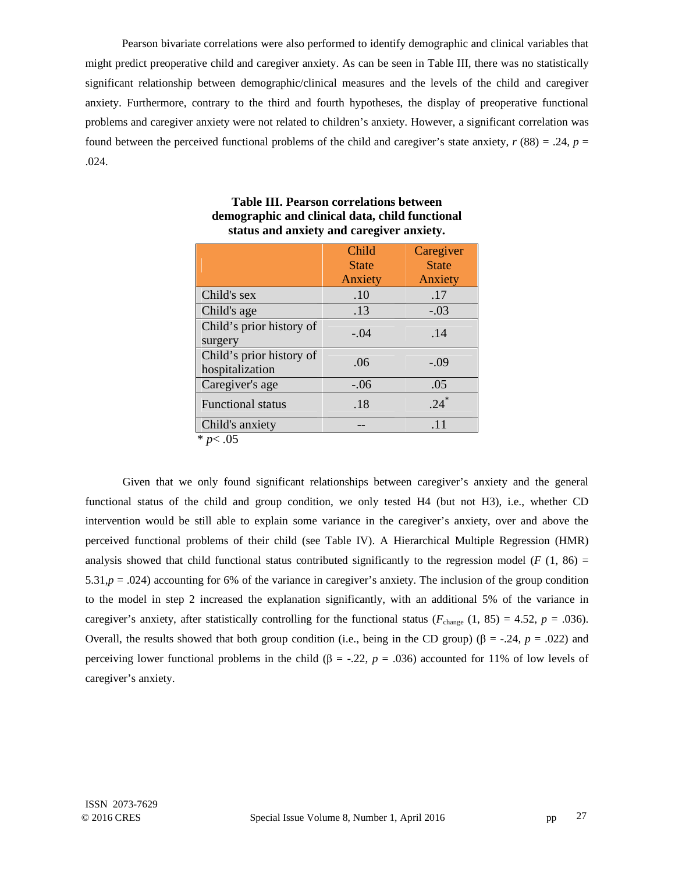Pearson bivariate correlations were also performed to identify demographic and clinical variables that might predict preoperative child and caregiver anxiety. As can be seen in Table III, there was no statistically significant relationship between demographic/clinical measures and the levels of the child and caregiver anxiety. Furthermore, contrary to the third and fourth hypotheses, the display of preoperative functional problems and caregiver anxiety were not related to children's anxiety. However, a significant correlation was found between the perceived functional problems of the child and caregiver's state anxiety, *r* (88) = .24, *p* = .024.

|                          | Child        | Caregiver    |
|--------------------------|--------------|--------------|
|                          | <b>State</b> | <b>State</b> |
|                          | Anxiety      | Anxiety      |
| Child's sex              | .10          | .17          |
| Child's age              | .13          | $-.03$       |
| Child's prior history of | $-.04$       | .14          |
| surgery                  |              |              |
| Child's prior history of | .06          | $-.09$       |
| hospitalization          |              |              |
| Caregiver's age          | $-.06$       | .05          |
| <b>Functional status</b> | .18          | $.24*$       |
| Child's anxiety          |              | .11          |
| * $p<.05$                |              |              |

# **Table III. Pearson correlations between demographic and clinical data, child functional status and anxiety and caregiver anxiety.**

Given that we only found significant relationships between caregiver's anxiety and the general functional status of the child and group condition, we only tested H4 (but not H3), i.e., whether CD intervention would be still able to explain some variance in the caregiver's anxiety, over and above the perceived functional problems of their child (see Table IV). A Hierarchical Multiple Regression (HMR) analysis showed that child functional status contributed significantly to the regression model ( $F(1, 86)$ ) = 5.31, $p = .024$ ) accounting for 6% of the variance in caregiver's anxiety. The inclusion of the group condition to the model in step 2 increased the explanation significantly, with an additional 5% of the variance in caregiver's anxiety, after statistically controlling for the functional status ( $F_{\text{change}}$  (1, 85) = 4.52,  $p = .036$ ). Overall, the results showed that both group condition (i.e., being in the CD group) (β = -.24,  $p = .022$ ) and perceiving lower functional problems in the child (β = -.22, *p* = .036) accounted for 11% of low levels of caregiver's anxiety.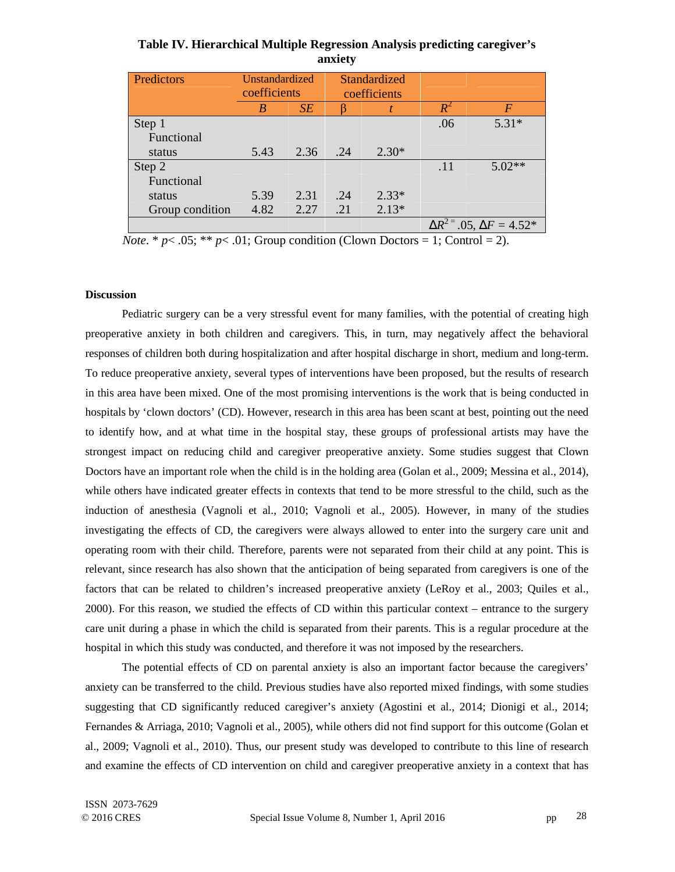| Table IV. Hierarchical Multiple Regression Analysis predicting caregiver's |
|----------------------------------------------------------------------------|
| anxiety                                                                    |

| Predictors      | Unstandardized<br>coefficients |           | Standardized<br>coefficients |         |                           |          |
|-----------------|--------------------------------|-----------|------------------------------|---------|---------------------------|----------|
|                 | B                              | <b>SE</b> |                              |         | $R^\angle$                | $\bm{F}$ |
| Step 1          |                                |           |                              |         | .06                       | $5.31*$  |
| Functional      |                                |           |                              |         |                           |          |
| status          | 5.43                           | 2.36      | .24                          | $2.30*$ |                           |          |
| Step 2          |                                |           |                              |         | .11                       | $5.02**$ |
| Functional      |                                |           |                              |         |                           |          |
| status          | 5.39                           | 2.31      | .24                          | $2.33*$ |                           |          |
| Group condition | 4.82                           | 2.27      | .21                          | $2.13*$ |                           |          |
|                 |                                |           |                              |         | $= .05, \Delta F = 4.52*$ |          |

*Note*. \*  $p$ <.05; \*\*  $p$ <.01; Group condition (Clown Doctors = 1; Control = 2).

# **Discussion**

Pediatric surgery can be a very stressful event for many families, with the potential of creating high preoperative anxiety in both children and caregivers. This, in turn, may negatively affect the behavioral responses of children both during hospitalization and after hospital discharge in short, medium and long-term. To reduce preoperative anxiety, several types of interventions have been proposed, but the results of research in this area have been mixed. One of the most promising interventions is the work that is being conducted in hospitals by 'clown doctors' (CD). However, research in this area has been scant at best, pointing out the need to identify how, and at what time in the hospital stay, these groups of professional artists may have the strongest impact on reducing child and caregiver preoperative anxiety. Some studies suggest that Clown Doctors have an important role when the child is in the holding area (Golan et al., 2009; Messina et al., 2014), while others have indicated greater effects in contexts that tend to be more stressful to the child, such as the induction of anesthesia (Vagnoli et al., 2010; Vagnoli et al., 2005). However, in many of the studies investigating the effects of CD, the caregivers were always allowed to enter into the surgery care unit and operating room with their child. Therefore, parents were not separated from their child at any point. This is relevant, since research has also shown that the anticipation of being separated from caregivers is one of the factors that can be related to children's increased preoperative anxiety (LeRoy et al., 2003; Quiles et al., 2000). For this reason, we studied the effects of CD within this particular context – entrance to the surgery care unit during a phase in which the child is separated from their parents. This is a regular procedure at the hospital in which this study was conducted, and therefore it was not imposed by the researchers.

The potential effects of CD on parental anxiety is also an important factor because the caregivers' anxiety can be transferred to the child. Previous studies have also reported mixed findings, with some studies suggesting that CD significantly reduced caregiver's anxiety (Agostini et al., 2014; Dionigi et al., 2014; Fernandes & Arriaga, 2010; Vagnoli et al., 2005), while others did not find support for this outcome (Golan et al., 2009; Vagnoli et al., 2010). Thus, our present study was developed to contribute to this line of research and examine the effects of CD intervention on child and caregiver preoperative anxiety in a context that has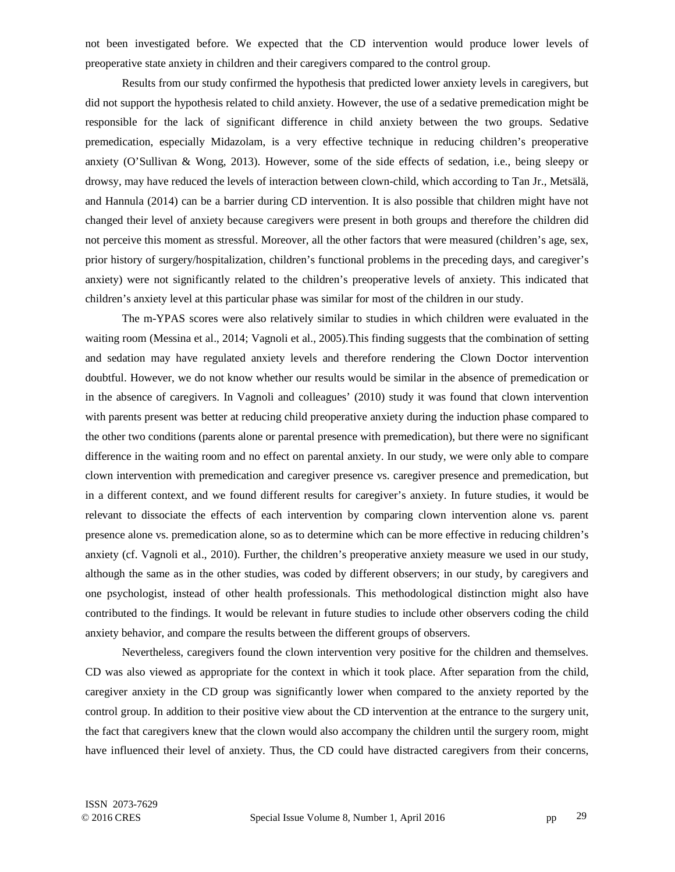not been investigated before. We expected that the CD intervention would produce lower levels of preoperative state anxiety in children and their caregivers compared to the control group.

Results from our study confirmed the hypothesis that predicted lower anxiety levels in caregivers, but did not support the hypothesis related to child anxiety. However, the use of a sedative premedication might be responsible for the lack of significant difference in child anxiety between the two groups. Sedative premedication, especially Midazolam, is a very effective technique in reducing children's preoperative anxiety (O'Sullivan & Wong, 2013). However, some of the side effects of sedation, i.e., being sleepy or drowsy, may have reduced the levels of interaction between clown-child, which according to Tan Jr., Metsälä, and Hannula (2014) can be a barrier during CD intervention. It is also possible that children might have not changed their level of anxiety because caregivers were present in both groups and therefore the children did not perceive this moment as stressful. Moreover, all the other factors that were measured (children's age, sex, prior history of surgery/hospitalization, children's functional problems in the preceding days, and caregiver's anxiety) were not significantly related to the children's preoperative levels of anxiety. This indicated that children's anxiety level at this particular phase was similar for most of the children in our study.

The m-YPAS scores were also relatively similar to studies in which children were evaluated in the waiting room (Messina et al., 2014; Vagnoli et al., 2005).This finding suggests that the combination of setting and sedation may have regulated anxiety levels and therefore rendering the Clown Doctor intervention doubtful. However, we do not know whether our results would be similar in the absence of premedication or in the absence of caregivers. In Vagnoli and colleagues' (2010) study it was found that clown intervention with parents present was better at reducing child preoperative anxiety during the induction phase compared to the other two conditions (parents alone or parental presence with premedication), but there were no significant difference in the waiting room and no effect on parental anxiety. In our study, we were only able to compare clown intervention with premedication and caregiver presence vs. caregiver presence and premedication, but in a different context, and we found different results for caregiver's anxiety. In future studies, it would be relevant to dissociate the effects of each intervention by comparing clown intervention alone vs. parent presence alone vs. premedication alone, so as to determine which can be more effective in reducing children's anxiety (cf. Vagnoli et al., 2010). Further, the children's preoperative anxiety measure we used in our study, although the same as in the other studies, was coded by different observers; in our study, by caregivers and one psychologist, instead of other health professionals. This methodological distinction might also have contributed to the findings. It would be relevant in future studies to include other observers coding the child anxiety behavior, and compare the results between the different groups of observers.

Nevertheless, caregivers found the clown intervention very positive for the children and themselves. CD was also viewed as appropriate for the context in which it took place. After separation from the child, caregiver anxiety in the CD group was significantly lower when compared to the anxiety reported by the control group. In addition to their positive view about the CD intervention at the entrance to the surgery unit, the fact that caregivers knew that the clown would also accompany the children until the surgery room, might have influenced their level of anxiety. Thus, the CD could have distracted caregivers from their concerns,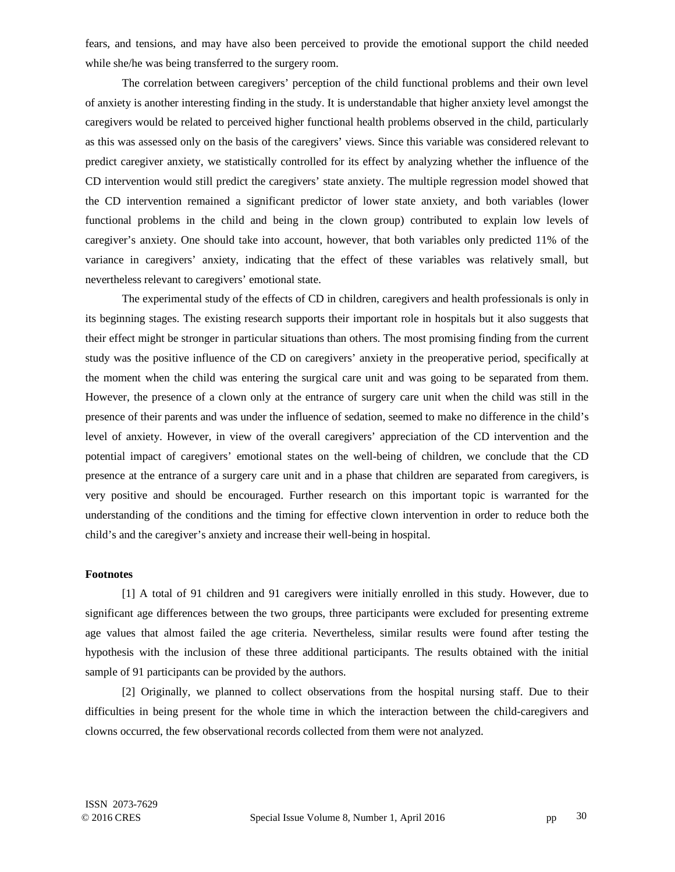fears, and tensions, and may have also been perceived to provide the emotional support the child needed while she/he was being transferred to the surgery room.

The correlation between caregivers' perception of the child functional problems and their own level of anxiety is another interesting finding in the study. It is understandable that higher anxiety level amongst the caregivers would be related to perceived higher functional health problems observed in the child, particularly as this was assessed only on the basis of the caregivers' views. Since this variable was considered relevant to predict caregiver anxiety, we statistically controlled for its effect by analyzing whether the influence of the CD intervention would still predict the caregivers' state anxiety. The multiple regression model showed that the CD intervention remained a significant predictor of lower state anxiety, and both variables (lower functional problems in the child and being in the clown group) contributed to explain low levels of caregiver's anxiety. One should take into account, however, that both variables only predicted 11% of the variance in caregivers' anxiety, indicating that the effect of these variables was relatively small, but nevertheless relevant to caregivers' emotional state.

The experimental study of the effects of CD in children, caregivers and health professionals is only in its beginning stages. The existing research supports their important role in hospitals but it also suggests that their effect might be stronger in particular situations than others. The most promising finding from the current study was the positive influence of the CD on caregivers' anxiety in the preoperative period, specifically at the moment when the child was entering the surgical care unit and was going to be separated from them. However, the presence of a clown only at the entrance of surgery care unit when the child was still in the presence of their parents and was under the influence of sedation, seemed to make no difference in the child's level of anxiety. However, in view of the overall caregivers' appreciation of the CD intervention and the potential impact of caregivers' emotional states on the well-being of children, we conclude that the CD presence at the entrance of a surgery care unit and in a phase that children are separated from caregivers, is very positive and should be encouraged. Further research on this important topic is warranted for the understanding of the conditions and the timing for effective clown intervention in order to reduce both the child's and the caregiver's anxiety and increase their well-being in hospital.

### **Footnotes**

[1] A total of 91 children and 91 caregivers were initially enrolled in this study. However, due to significant age differences between the two groups, three participants were excluded for presenting extreme age values that almost failed the age criteria. Nevertheless, similar results were found after testing the hypothesis with the inclusion of these three additional participants. The results obtained with the initial sample of 91 participants can be provided by the authors.

[2] Originally, we planned to collect observations from the hospital nursing staff. Due to their difficulties in being present for the whole time in which the interaction between the child-caregivers and clowns occurred, the few observational records collected from them were not analyzed.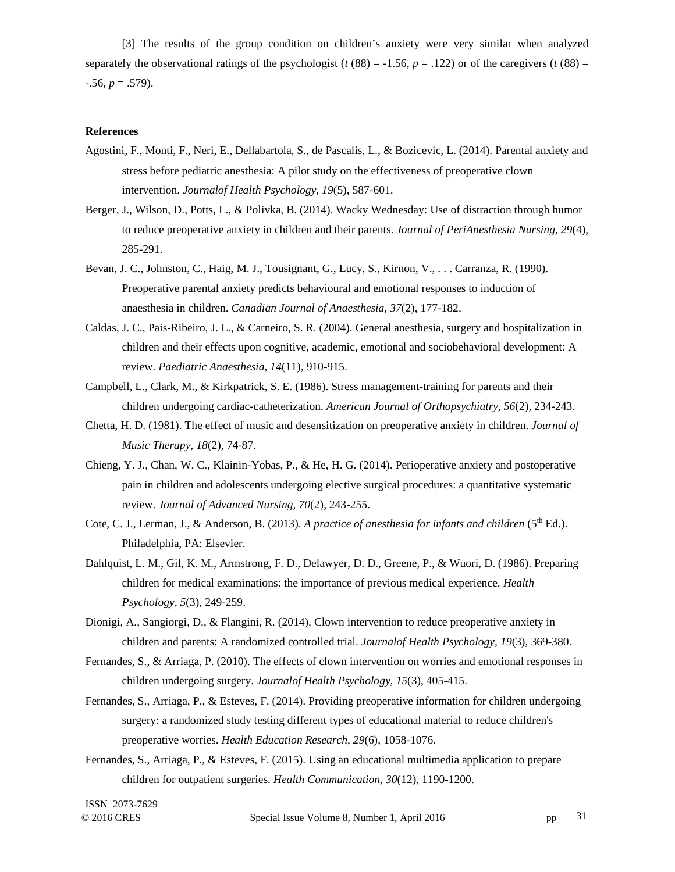[3] The results of the group condition on children's anxiety were very similar when analyzed separately the observational ratings of the psychologist ( $t(88) = -1.56$ ,  $p = 0.122$ ) or of the caregivers ( $t(88) =$  $-0.56, p = 0.579$ .

# **References**

- Agostini, F., Monti, F., Neri, E., Dellabartola, S., de Pascalis, L., & Bozicevic, L. (2014). Parental anxiety and stress before pediatric anesthesia: A pilot study on the effectiveness of preoperative clown intervention. *Journalof Health Psychology, 19*(5), 587-601.
- Berger, J., Wilson, D., Potts, L., & Polivka, B. (2014). Wacky Wednesday: Use of distraction through humor to reduce preoperative anxiety in children and their parents. *Journal of PeriAnesthesia Nursing, 29*(4), 285-291.
- Bevan, J. C., Johnston, C., Haig, M. J., Tousignant, G., Lucy, S., Kirnon, V., . . . Carranza, R. (1990). Preoperative parental anxiety predicts behavioural and emotional responses to induction of anaesthesia in children. *Canadian Journal of Anaesthesia, 37*(2), 177-182.
- Caldas, J. C., Pais-Ribeiro, J. L., & Carneiro, S. R. (2004). General anesthesia, surgery and hospitalization in children and their effects upon cognitive, academic, emotional and sociobehavioral development: A review. *Paediatric Anaesthesia, 14*(11), 910-915.
- Campbell, L., Clark, M., & Kirkpatrick, S. E. (1986). Stress management-training for parents and their children undergoing cardiac-catheterization. *American Journal of Orthopsychiatry, 56*(2), 234-243.
- Chetta, H. D. (1981). The effect of music and desensitization on preoperative anxiety in children. *Journal of Music Therapy, 18*(2), 74-87.
- Chieng, Y. J., Chan, W. C., Klainin-Yobas, P., & He, H. G. (2014). Perioperative anxiety and postoperative pain in children and adolescents undergoing elective surgical procedures: a quantitative systematic review. *Journal of Advanced Nursing, 70*(2), 243-255.
- Cote, C. J., Lerman, J., & Anderson, B. (2013). *A practice of anesthesia for infants and children* (5<sup>th</sup> Ed.). Philadelphia, PA: Elsevier.
- Dahlquist, L. M., Gil, K. M., Armstrong, F. D., Delawyer, D. D., Greene, P., & Wuori, D. (1986). Preparing children for medical examinations: the importance of previous medical experience. *Health Psychology, 5*(3), 249-259.
- Dionigi, A., Sangiorgi, D., & Flangini, R. (2014). Clown intervention to reduce preoperative anxiety in children and parents: A randomized controlled trial. *Journalof Health Psychology, 19*(3), 369-380.
- Fernandes, S., & Arriaga, P. (2010). The effects of clown intervention on worries and emotional responses in children undergoing surgery. *Journalof Health Psychology, 15*(3), 405-415.
- Fernandes, S., Arriaga, P., & Esteves, F. (2014). Providing preoperative information for children undergoing surgery: a randomized study testing different types of educational material to reduce children's preoperative worries. *Health Education Research, 29*(6), 1058-1076.
- Fernandes, S., Arriaga, P., & Esteves, F. (2015). Using an educational multimedia application to prepare children for outpatient surgeries. *Health Communication, 30*(12), 1190-1200.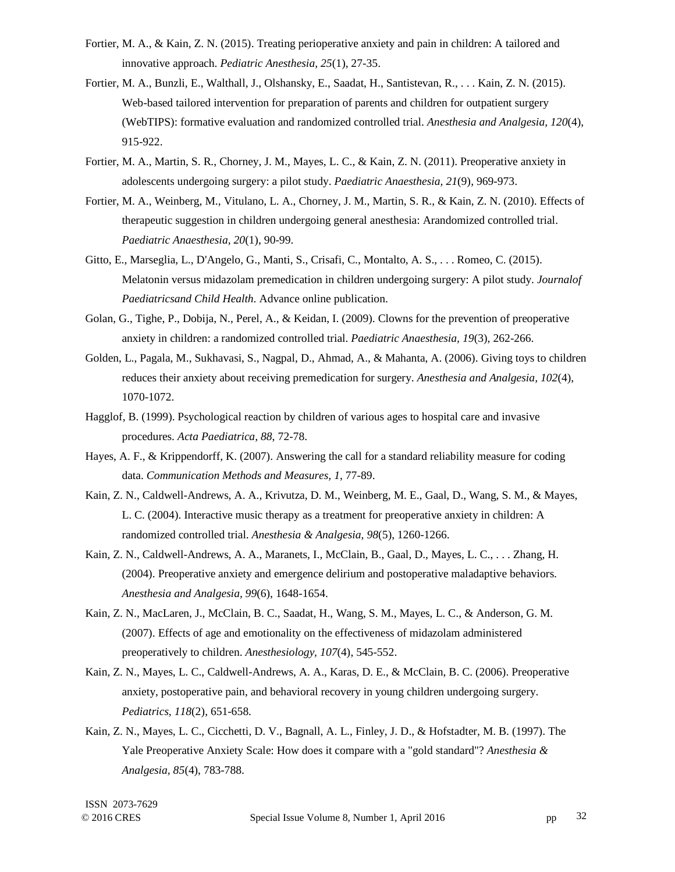- Fortier, M. A., & Kain, Z. N. (2015). Treating perioperative anxiety and pain in children: A tailored and innovative approach. *Pediatric Anesthesia, 25*(1), 27-35.
- Fortier, M. A., Bunzli, E., Walthall, J., Olshansky, E., Saadat, H., Santistevan, R., . . . Kain, Z. N. (2015). Web-based tailored intervention for preparation of parents and children for outpatient surgery (WebTIPS): formative evaluation and randomized controlled trial. *Anesthesia and Analgesia, 120*(4), 915-922.
- Fortier, M. A., Martin, S. R., Chorney, J. M., Mayes, L. C., & Kain, Z. N. (2011). Preoperative anxiety in adolescents undergoing surgery: a pilot study. *Paediatric Anaesthesia, 21*(9), 969-973.
- Fortier, M. A., Weinberg, M., Vitulano, L. A., Chorney, J. M., Martin, S. R., & Kain, Z. N. (2010). Effects of therapeutic suggestion in children undergoing general anesthesia: Arandomized controlled trial. *Paediatric Anaesthesia, 20*(1), 90-99.
- Gitto, E., Marseglia, L., D'Angelo, G., Manti, S., Crisafi, C., Montalto, A. S., . . . Romeo, C. (2015). Melatonin versus midazolam premedication in children undergoing surgery: A pilot study. *Journalof Paediatricsand Child Health*. Advance online publication.
- Golan, G., Tighe, P., Dobija, N., Perel, A., & Keidan, I. (2009). Clowns for the prevention of preoperative anxiety in children: a randomized controlled trial. *Paediatric Anaesthesia, 19*(3), 262-266.
- Golden, L., Pagala, M., Sukhavasi, S., Nagpal, D., Ahmad, A., & Mahanta, A. (2006). Giving toys to children reduces their anxiety about receiving premedication for surgery. *Anesthesia and Analgesia, 102*(4), 1070-1072.
- Hagglof, B. (1999). Psychological reaction by children of various ages to hospital care and invasive procedures. *Acta Paediatrica, 88*, 72-78.
- Hayes, A. F., & Krippendorff, K. (2007). Answering the call for a standard reliability measure for coding data. *Communication Methods and Measures, 1*, 77-89.
- Kain, Z. N., Caldwell-Andrews, A. A., Krivutza, D. M., Weinberg, M. E., Gaal, D., Wang, S. M., & Mayes, L. C. (2004). Interactive music therapy as a treatment for preoperative anxiety in children: A randomized controlled trial. *Anesthesia & Analgesia, 98*(5), 1260-1266.
- Kain, Z. N., Caldwell-Andrews, A. A., Maranets, I., McClain, B., Gaal, D., Mayes, L. C., . . . Zhang, H. (2004). Preoperative anxiety and emergence delirium and postoperative maladaptive behaviors. *Anesthesia and Analgesia, 99*(6), 1648-1654.
- Kain, Z. N., MacLaren, J., McClain, B. C., Saadat, H., Wang, S. M., Mayes, L. C., & Anderson, G. M. (2007). Effects of age and emotionality on the effectiveness of midazolam administered preoperatively to children. *Anesthesiology, 107*(4), 545-552.
- Kain, Z. N., Mayes, L. C., Caldwell-Andrews, A. A., Karas, D. E., & McClain, B. C. (2006). Preoperative anxiety, postoperative pain, and behavioral recovery in young children undergoing surgery. *Pediatrics, 118*(2), 651-658.
- Kain, Z. N., Mayes, L. C., Cicchetti, D. V., Bagnall, A. L., Finley, J. D., & Hofstadter, M. B. (1997). The Yale Preoperative Anxiety Scale: How does it compare with a "gold standard"? *Anesthesia & Analgesia, 85*(4), 783-788.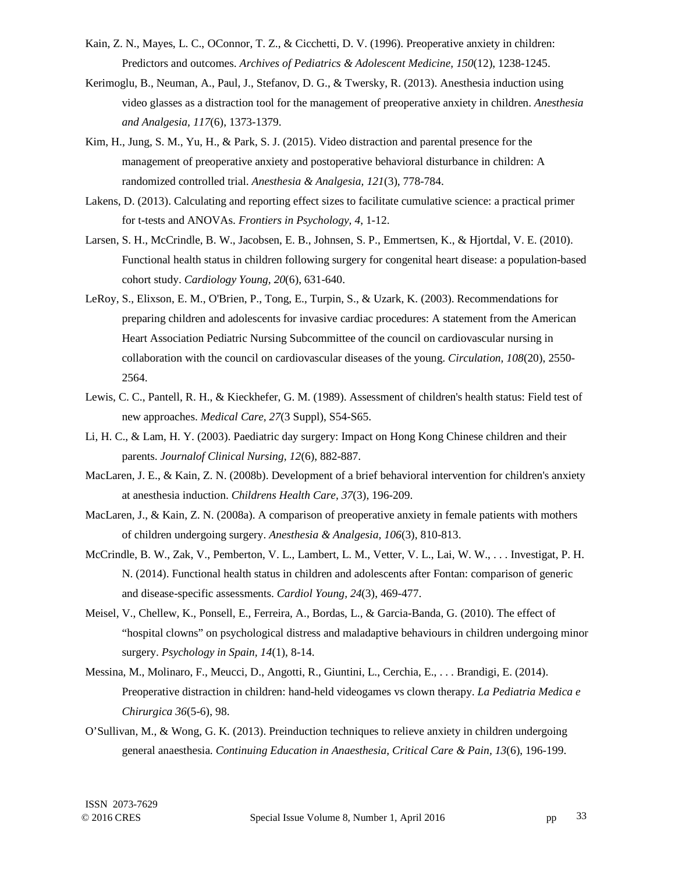- Kain, Z. N., Mayes, L. C., OConnor, T. Z., & Cicchetti, D. V. (1996). Preoperative anxiety in children: Predictors and outcomes. *Archives of Pediatrics & Adolescent Medicine, 150*(12), 1238-1245.
- Kerimoglu, B., Neuman, A., Paul, J., Stefanov, D. G., & Twersky, R. (2013). Anesthesia induction using video glasses as a distraction tool for the management of preoperative anxiety in children. *Anesthesia and Analgesia, 117*(6), 1373-1379.
- Kim, H., Jung, S. M., Yu, H., & Park, S. J. (2015). Video distraction and parental presence for the management of preoperative anxiety and postoperative behavioral disturbance in children: A randomized controlled trial. *Anesthesia & Analgesia, 121*(3), 778-784.
- Lakens, D. (2013). Calculating and reporting effect sizes to facilitate cumulative science: a practical primer for t-tests and ANOVAs. *Frontiers in Psychology, 4*, 1-12.
- Larsen, S. H., McCrindle, B. W., Jacobsen, E. B., Johnsen, S. P., Emmertsen, K., & Hjortdal, V. E. (2010). Functional health status in children following surgery for congenital heart disease: a population-based cohort study. *Cardiology Young, 20*(6), 631-640.
- LeRoy, S., Elixson, E. M., O'Brien, P., Tong, E., Turpin, S., & Uzark, K. (2003). Recommendations for preparing children and adolescents for invasive cardiac procedures: A statement from the American Heart Association Pediatric Nursing Subcommittee of the council on cardiovascular nursing in collaboration with the council on cardiovascular diseases of the young. *Circulation, 108*(20), 2550- 2564.
- Lewis, C. C., Pantell, R. H., & Kieckhefer, G. M. (1989). Assessment of children's health status: Field test of new approaches. *Medical Care, 27*(3 Suppl), S54-S65.
- Li, H. C., & Lam, H. Y. (2003). Paediatric day surgery: Impact on Hong Kong Chinese children and their parents. *Journalof Clinical Nursing, 12*(6), 882-887.
- MacLaren, J. E., & Kain, Z. N. (2008b). Development of a brief behavioral intervention for children's anxiety at anesthesia induction. *Childrens Health Care, 37*(3), 196-209.
- MacLaren, J., & Kain, Z. N. (2008a). A comparison of preoperative anxiety in female patients with mothers of children undergoing surgery. *Anesthesia & Analgesia, 106*(3), 810-813.
- McCrindle, B. W., Zak, V., Pemberton, V. L., Lambert, L. M., Vetter, V. L., Lai, W. W., . . . Investigat, P. H. N. (2014). Functional health status in children and adolescents after Fontan: comparison of generic and disease-specific assessments. *Cardiol Young, 24*(3), 469-477.
- Meisel, V., Chellew, K., Ponsell, E., Ferreira, A., Bordas, L., & Garcia-Banda, G. (2010). The effect of "hospital clowns" on psychological distress and maladaptive behaviours in children undergoing minor surgery. *Psychology in Spain, 14*(1), 8-14.
- Messina, M., Molinaro, F., Meucci, D., Angotti, R., Giuntini, L., Cerchia, E., . . . Brandigi, E. (2014). Preoperative distraction in children: hand-held videogames vs clown therapy. *La Pediatria Medica e Chirurgica 36*(5-6), 98.
- O'Sullivan, M., & Wong, G. K. (2013). Preinduction techniques to relieve anxiety in children undergoing general anaesthesia. *Continuing Education in Anaesthesia, Critical Care & Pain, 13*(6), 196-199.